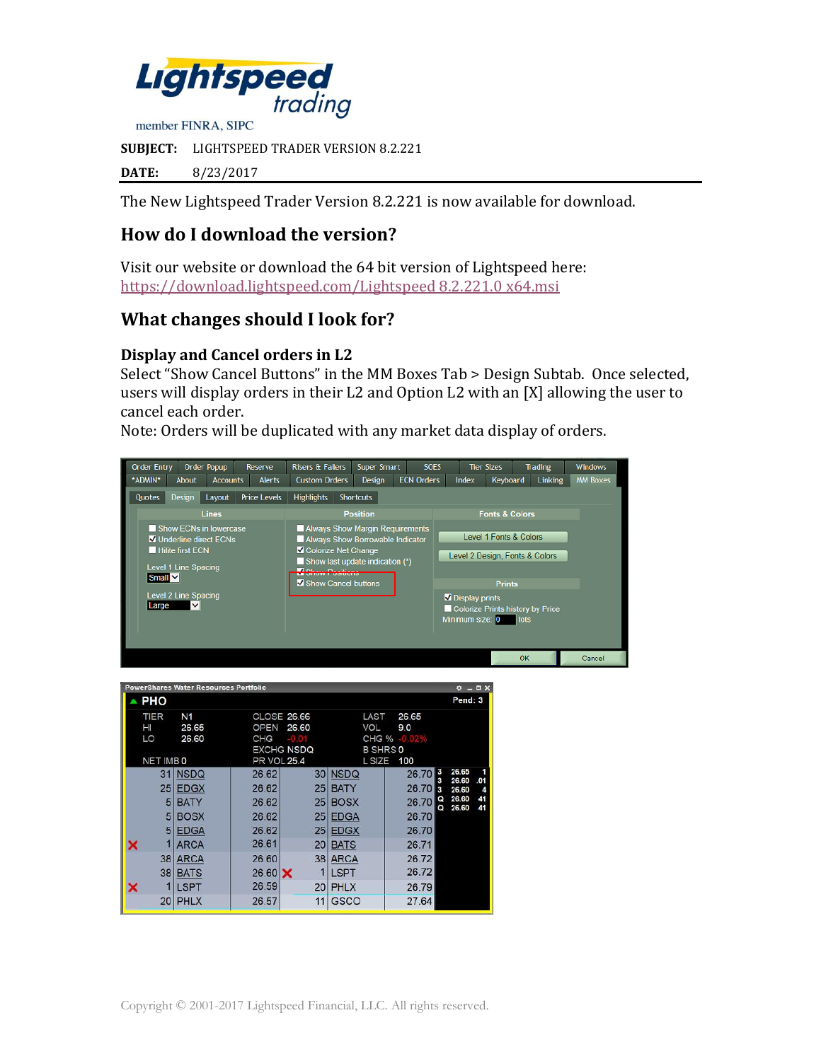

**SUBJECT:** LIGHTSPEED TRADER VERSION 8.2.221

**DATE:** 8/23/2017

The New Lightspeed Trader Version 8.2.221 is now available for download.

# **How do I download the version?**

Visit our website or download the 64 bit version of Lightspeed here: [https://download.lightspeed.com/Lightspeed 8.2.221.0](https://download.lightspeed.com/Lightspeed%208.2.221.0%20x64.msi) x64.msi

## **What changes should I look for?**

#### **Display and Cancel orders in L2**

Select "Show Cancel Buttons" in the MM Boxes Tab > Design Subtab. Once selected, users will display orders in their L2 and Option L2 with an [X] allowing the user to cancel each order.

Note: Orders will be duplicated with any market data display of orders.



|                  | <b>PowerShares Water Resources Portfolio</b> |                    |                                                  |                                                |              | ۰                        | D X<br>m |
|------------------|----------------------------------------------|--------------------|--------------------------------------------------|------------------------------------------------|--------------|--------------------------|----------|
| <b>PHO</b>       |                                              |                    |                                                  |                                                |              |                          | Pend: 3  |
| TIER<br>HI<br>LO | N <sub>1</sub><br>26.65<br>26.60             | <b>OPEN</b><br>CHG | <b>CLOSE 26.66</b><br>26.60<br><b>EXCHG NSDQ</b> | LAST<br><b>VOL</b><br>CHG %<br><b>B SHRS 0</b> | 26.65<br>9.0 |                          |          |
| NET IMBO         |                                              | <b>PR VOL 25.4</b> |                                                  | L SIZE                                         | 100          |                          |          |
| 31               | <b>NSDQ</b>                                  | 26.62              |                                                  | 30 NSDQ                                        | 26.70        | 3<br>26.65<br>26.60      | .01      |
| 25               | <b>EDGX</b>                                  | 26.62              | 25                                               | <b>BATY</b>                                    | 26.70        | з<br>26,60               | 4        |
| 5                | <b>BATY</b>                                  | 26.62              | 25 <sup>1</sup>                                  | <b>BOSX</b>                                    | 26.70        | 26.60<br>Q<br>26.60<br>ດ | 41<br>41 |
| 5                | <b>BOSX</b>                                  | 26.62              | 25 <sub>1</sub>                                  | <b>EDGA</b>                                    | 26.70        |                          |          |
| 5                | <b>EDGA</b>                                  | 26.62              | 25 <sub>1</sub>                                  | <b>EDGX</b>                                    | 26.70        |                          |          |
|                  | <b>ARCA</b>                                  | 26.61              | 20                                               | <b>BATS</b>                                    | 26.71        |                          |          |
| 38               | <b>ARCA</b>                                  | 26.60              |                                                  | 38 ARCA                                        | 26.72        |                          |          |
| 38               | <b>BATS</b>                                  | $26.60 \times$     | 1                                                | <b>LSPT</b>                                    | 26.72        |                          |          |
|                  | <b>LSPT</b>                                  | 26.59              | 20                                               | <b>PHLX</b>                                    | 26.79        |                          |          |
| 20               | <b>PHLX</b>                                  | 26.57              | 11                                               | <b>GSCO</b>                                    | 27.64        |                          |          |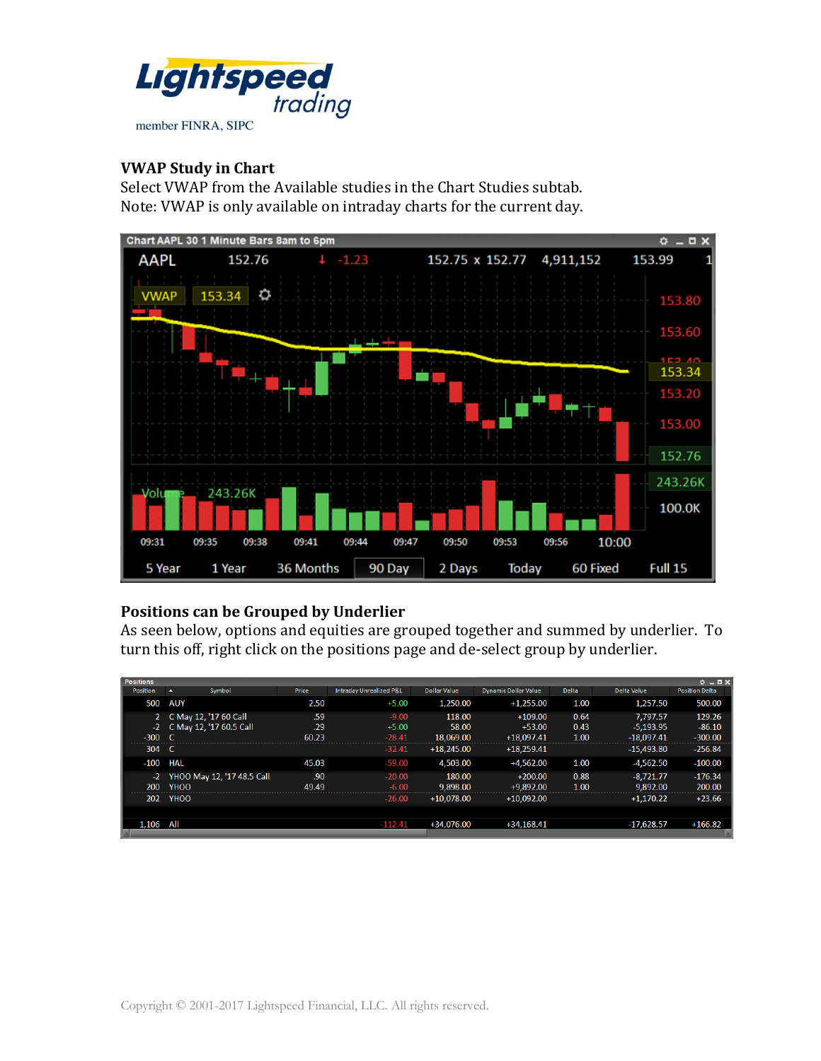

#### **VWAP Study in Chart**

Select VWAP from the Available studies in the Chart Studies subtab. Note: VWAP is only available on intraday charts for the current day.



## **Positions can be Grouped by Underlier**

As seen below, options and equities are grouped together and summed by underlier. To turn this off, right click on the positions page and de-select group by underlier.

| <b>Positions</b> |                  |                            |       |                                    |                     |                             |              |              | $Q = \Box X$          |
|------------------|------------------|----------------------------|-------|------------------------------------|---------------------|-----------------------------|--------------|--------------|-----------------------|
| <b>Position</b>  | $\blacktriangle$ | Symbol                     | Price | <b>Intraday Unrealized P&amp;L</b> | <b>Dollar Value</b> | <b>Dynamic Dollar Value</b> | <b>Delta</b> | Delta Value  | <b>Position Delta</b> |
| 500              | <b>AUY</b>       |                            | 2.50  | $+5.00$                            | 1,250.00            | $+1.255.00$                 | 1.00         | 1.257.50     | 500.00                |
|                  |                  | C May 12, '17 60 Call      | .59   | $-9.00$                            | 118.00              | $+109.00$                   | 0.64         | 7,797.57     | 129.26                |
| $-2$             |                  | C May 12, '17 60.5 Call    | .29   | $+5.00$                            | 58.00               | $+53.00$                    | 0.43         | $-5.193.95$  | $-86.10$              |
| $-300$           | $\mathcal{C}$    |                            | 60.23 | $-28.41$                           | 18,069.00           | $+18,097.41$                | 1.00         | $-18,097.41$ | $-300.00$             |
| 304              | - C              |                            |       | $-32.41$                           | $+18,245.00$        | $+18.259.41$                |              | $-15.493.80$ | $-256.84$             |
| $-100$           | HAL              |                            | 45.03 | $-59.00$                           | 4,503.00            | $+4,562.00$                 | 1.00         | $-4,562,50$  | $-100.00$             |
| $-2$             |                  | YHOO May 12, '17 48.5 Call | .90   | $-20.00$                           | 180.00              | $+200.00$                   | 0.88         | $-8,721.77$  | $-176.34$             |
| 200              | YHOO             |                            | 49.49 | $-6.00$                            | 9.898.00            | $+9.892.00$                 | 1.00         | 9.892.00     | 200.00                |
| 202              | YHOO             |                            |       | $-26.00$                           | $+10.078.00$        | $+10.092.00$                |              | $+1.170.22$  | $+23.66$              |
|                  |                  |                            |       |                                    |                     |                             |              |              |                       |
| 1,106 All        |                  |                            |       | $-112.41$                          | $+34,076.00$        | $+34,168.41$                |              | $-17,628.57$ | $+166.82$             |
|                  |                  |                            |       |                                    |                     |                             |              |              |                       |